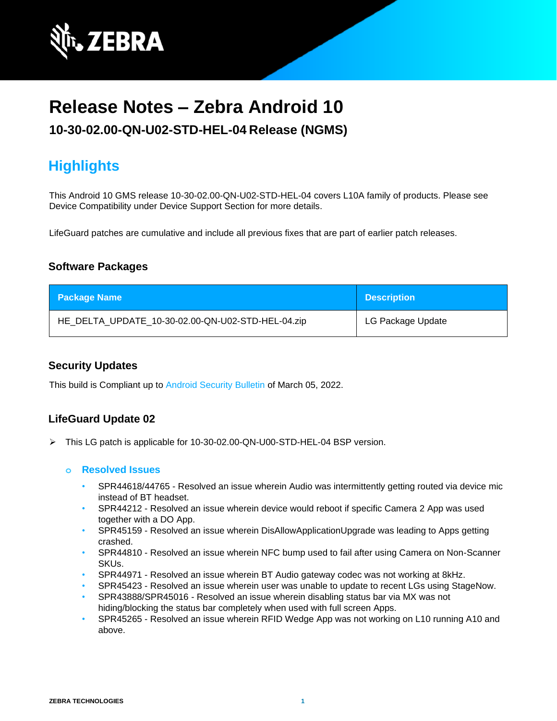

# **Release Notes – Zebra Android 10**

### **10-30-02.00-QN-U02-STD-HEL-04 Release (NGMS)**

## **Highlights**

This Android 10 GMS release 10-30-02.00-QN-U02-STD-HEL-04 covers L10A family of products. Please see Device Compatibility under Device Support Section for more details.

LifeGuard patches are cumulative and include all previous fixes that are part of earlier patch releases.

### **Software Packages**

| <b>Package Name</b>                               | <b>Description</b> |
|---------------------------------------------------|--------------------|
| HE_DELTA_UPDATE_10-30-02.00-QN-U02-STD-HEL-04.zip | LG Package Update  |

### **Security Updates**

This build is Compliant up to [Android Security Bulletin](https://source.android.com/security/bulletin/) of March 05, 2022.

### **LifeGuard Update 02**

➢ This LG patch is applicable for 10-30-02.00-QN-U00-STD-HEL-04 BSP version.

#### **o Resolved Issues**

- SPR44618/44765 Resolved an issue wherein Audio was intermittently getting routed via device mic instead of BT headset.
- SPR44212 Resolved an issue wherein device would reboot if specific Camera 2 App was used together with a DO App.
- SPR45159 Resolved an issue wherein DisAllowApplicationUpgrade was leading to Apps getting crashed.
- SPR44810 Resolved an issue wherein NFC bump used to fail after using Camera on Non-Scanner SKUs.
- SPR44971 Resolved an issue wherein BT Audio gateway codec was not working at 8kHz.
- SPR45423 Resolved an issue wherein user was unable to update to recent LGs using StageNow.
- SPR43888/SPR45016 Resolved an issue wherein disabling status bar via MX was not hiding/blocking the status bar completely when used with full screen Apps.
- SPR45265 Resolved an issue wherein RFID Wedge App was not working on L10 running A10 and above.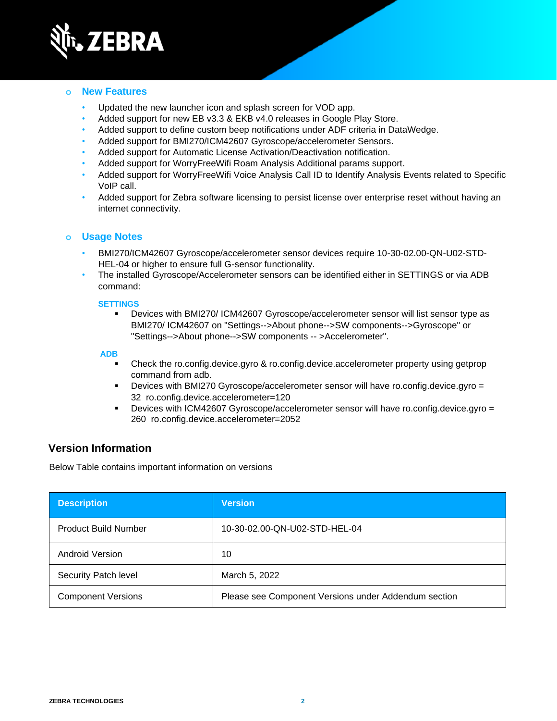

#### **o New Features**

- Updated the new launcher icon and splash screen for VOD app.
- Added support for new EB v3.3 & EKB v4.0 releases in Google Play Store.
- Added support to define custom beep notifications under ADF criteria in DataWedge.
- Added support for BMI270/ICM42607 Gyroscope/accelerometer Sensors.
- Added support for Automatic License Activation/Deactivation notification.
- Added support for WorryFreeWifi Roam Analysis Additional params support.
- Added support for WorryFreeWifi Voice Analysis Call ID to Identify Analysis Events related to Specific VoIP call.
- Added support for Zebra software licensing to persist license over enterprise reset without having an internet connectivity.

#### **o Usage Notes**

- BMI270/ICM42607 Gyroscope/accelerometer sensor devices require 10-30-02.00-QN-U02-STD-HEL-04 or higher to ensure full G-sensor functionality.
- The installed Gyroscope/Accelerometer sensors can be identified either in SETTINGS or via ADB command:

#### **SETTINGS**

▪ Devices with BMI270/ ICM42607 Gyroscope/accelerometer sensor will list sensor type as BMI270/ ICM42607 on "Settings-->About phone-->SW components-->Gyroscope" or "Settings-->About phone-->SW components -- >Accelerometer".

#### **ADB**

- Check the ro.config.device.gyro & ro.config.device.accelerometer property using getprop command from adb.
- Devices with BMI270 Gyroscope/accelerometer sensor will have ro.config.device.gyro = 32 ro.config.device.accelerometer=120
- Devices with ICM42607 Gyroscope/accelerometer sensor will have ro.config.device.gyro = 260 ro.config.device.accelerometer=2052

### **Version Information**

Below Table contains important information on versions

| <b>Description</b>          | <b>Version</b>                                       |
|-----------------------------|------------------------------------------------------|
| <b>Product Build Number</b> | 10-30-02.00-QN-U02-STD-HEL-04                        |
| Android Version             | 10                                                   |
| Security Patch level        | March 5, 2022                                        |
| <b>Component Versions</b>   | Please see Component Versions under Addendum section |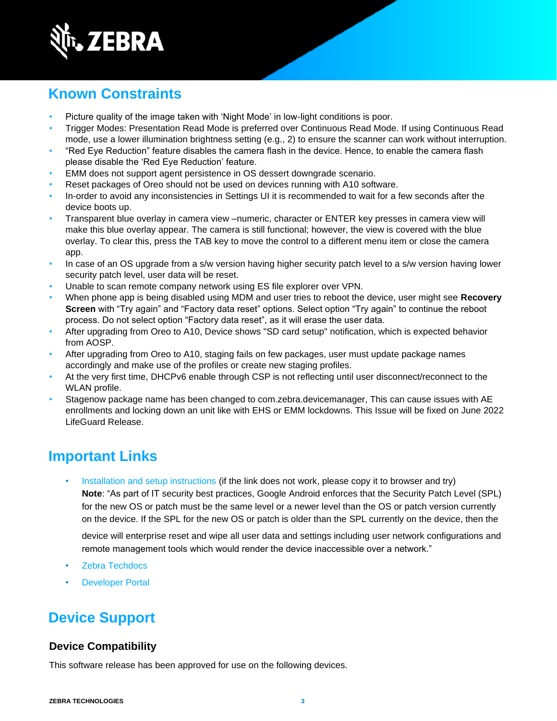

## **Known Constraints**

- Picture quality of the image taken with 'Night Mode' in low-light conditions is poor.
- Trigger Modes: Presentation Read Mode is preferred over Continuous Read Mode. If using Continuous Read mode, use a lower illumination brightness setting (e.g., 2) to ensure the scanner can work without interruption.
- "Red Eye Reduction" feature disables the camera flash in the device. Hence, to enable the camera flash please disable the 'Red Eye Reduction' feature.
- EMM does not support agent persistence in OS dessert downgrade scenario.
- Reset packages of Oreo should not be used on devices running with A10 software.
- In-order to avoid any inconsistencies in Settings UI it is recommended to wait for a few seconds after the device boots up.
- Transparent blue overlay in camera view –numeric, character or ENTER key presses in camera view will make this blue overlay appear. The camera is still functional; however, the view is covered with the blue overlay. To clear this, press the TAB key to move the control to a different menu item or close the camera app.
- In case of an OS upgrade from a s/w version having higher security patch level to a s/w version having lower security patch level, user data will be reset.
- Unable to scan remote company network using ES file explorer over VPN.
- When phone app is being disabled using MDM and user tries to reboot the device, user might see **Recovery Screen** with "Try again" and "Factory data reset" options. Select option "Try again" to continue the reboot process. Do not select option "Factory data reset", as it will erase the user data.
- After upgrading from Oreo to A10, Device shows "SD card setup" notification, which is expected behavior from AOSP.
- After upgrading from Oreo to A10, staging fails on few packages, user must update package names accordingly and make use of the profiles or create new staging profiles.
- At the very first time, DHCPv6 enable through CSP is not reflecting until user disconnect/reconnect to the WLAN profile.
- Stagenow package name has been changed to com.zebra.devicemanager, This can cause issues with AE enrollments and locking down an unit like with EHS or EMM lockdowns. This Issue will be fixed on June 2022 LifeGuard Release.

## **Important Links**

[Installation and setup instructions](https://www.zebra.com/content/dam/zebra_new_ia/en-us/software/operating-system/helios/a10-os-update-instructions.pdf) (if the link does not work, please copy it to browser and try) **Note**: "As part of IT security best practices, Google Android enforces that the Security Patch Level (SPL) for the new OS or patch must be the same level or a newer level than the OS or patch version currently on the device. If the SPL for the new OS or patch is older than the SPL currently on the device, then the

device will enterprise reset and wipe all user data and settings including user network configurations and remote management tools which would render the device inaccessible over a network."

- [Zebra Techdocs](http://techdocs.zebra.com/)
- **[Developer Portal](http://developer.zebra.com/)**

## **Device Support**

### **Device Compatibility**

This software release has been approved for use on the following devices.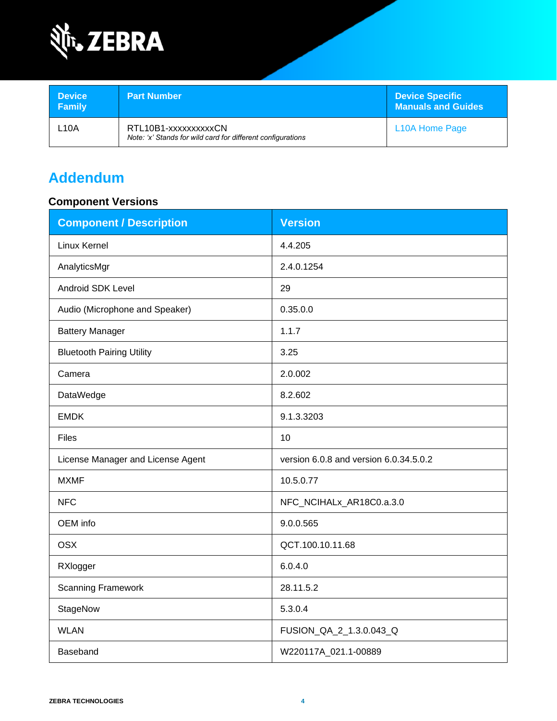

| <b>Device</b><br>Family | <b>Part Number</b>                                                                  | <b>Device Specific</b><br><b>Manuals and Guides</b> |
|-------------------------|-------------------------------------------------------------------------------------|-----------------------------------------------------|
| L10A                    | RTL10B1-xxxxxxxxxxCN<br>Note: 'x' Stands for wild card for different configurations | L <sub>10</sub> A Home Page                         |

## **Addendum**

### **Component Versions**

| <b>Component / Description</b>    | <b>Version</b>                         |  |
|-----------------------------------|----------------------------------------|--|
| Linux Kernel                      | 4.4.205                                |  |
| AnalyticsMgr                      | 2.4.0.1254                             |  |
| Android SDK Level                 | 29                                     |  |
| Audio (Microphone and Speaker)    | 0.35.0.0                               |  |
| <b>Battery Manager</b>            | 1.1.7                                  |  |
| <b>Bluetooth Pairing Utility</b>  | 3.25                                   |  |
| Camera                            | 2.0.002                                |  |
| DataWedge                         | 8.2.602                                |  |
| <b>EMDK</b>                       | 9.1.3.3203                             |  |
| Files                             | 10                                     |  |
| License Manager and License Agent | version 6.0.8 and version 6.0.34.5.0.2 |  |
| <b>MXMF</b>                       | 10.5.0.77                              |  |
| <b>NFC</b>                        | NFC_NCIHALx_AR18C0.a.3.0               |  |
| OEM info                          | 9.0.0.565                              |  |
| <b>OSX</b>                        | QCT.100.10.11.68                       |  |
| RXlogger                          | 6.0.4.0                                |  |
| <b>Scanning Framework</b>         | 28.11.5.2                              |  |
| StageNow                          | 5.3.0.4                                |  |
| <b>WLAN</b>                       | FUSION_QA_2_1.3.0.043_Q                |  |
| Baseband                          | W220117A_021.1-00889                   |  |